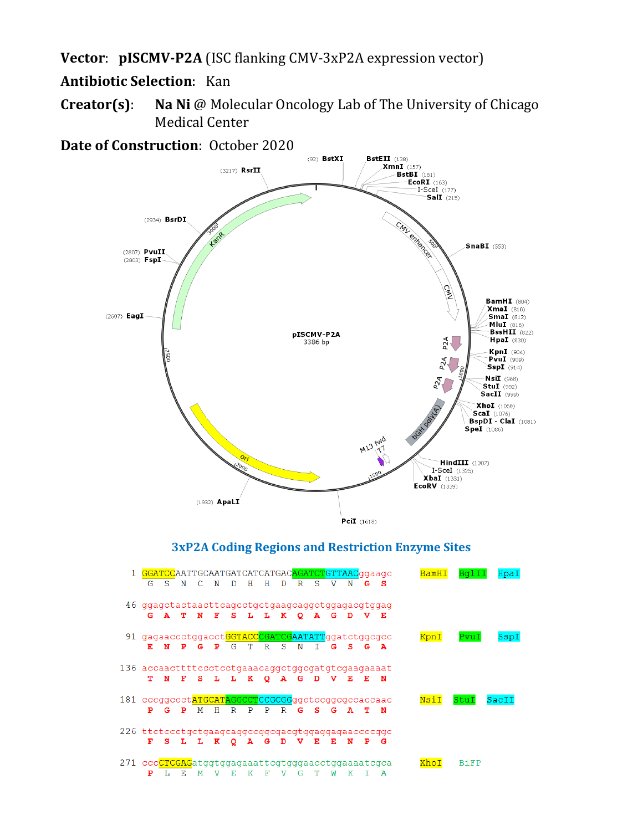## **Vector**: **pISCMV-P2A** (ISC flanking CMV-3xP2A expression vector)

# **Antibiotic Selection**: Kan

**Creator(s)**: **Na Ni** @ Molecular Oncology Lab of The University of Chicago Medical Center



271 cccCTCGAGatggtggagaaattcgtgggaacctggaaaatcgca XhoI **BiFP** PLEMVEKFVGTWKIA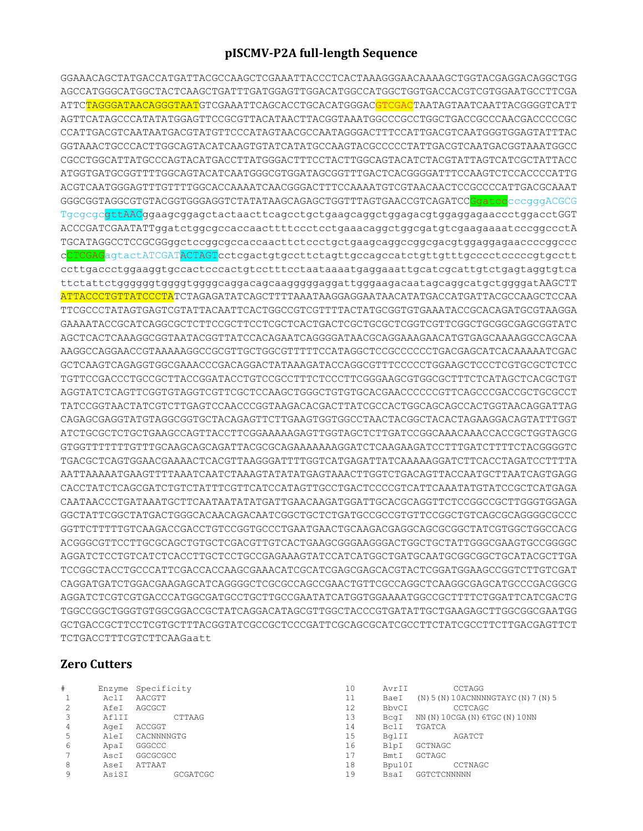### **pISCMV-P2A full-length Sequence**

GGAAACAGCTATGACCATGATTACGCCAAGCTCGAAATTACCCTCACTAAAGGGAACAAAAGCTGGTACGAGGACAGGCTGG AGCCATGGGCATGGCTACTCAAGCTGATTTGATGGAGTTGGACATGGCCATGGCTGGTGACCACGTCGTGGAATGCCTTCGA ATTC<mark>TAGGGATAACAGGGTAAT</mark>GTCGAAATTCAGCACCTGCACATGGGAC<mark>GTCGAC</mark>TAATAGTAATCAATTACGGGGTCATT AGTTCATAGCCCATATATGGAGTTCCGCGTTACATAACTTACGGTAAATGGCCCGCCTGGCTGACCGCCCAACGACCCCCGC CCATTGACGTCAATAATGACGTATGTTCCCATAGTAACGCCAATAGGGACTTTCCATTGACGTCAATGGGTGGAGTATTTAC GGTAAACTGCCCACTTGGCAGTACATCAAGTGTATCATATGCCAAGTACGCCCCCTATTGACGTCAATGACGGTAAATGGCC CGCCTGGCATTATGCCCAGTACATGACCTTATGGGACTTTCCTACTTGGCAGTACATCTACGTATTAGTCATCGCTATTACC ATGGTGATGCGGTTTTGGCAGTACATCAATGGGCGTGGATAGCGGTTTGACTCACGGGGATTTCCAAGTCTCCACCCCATTG ACGTCAATGGGAGTTTGTTTTGGCACCAAAATCAACGGGACTTTCCAAAATGTCGTAACAACTCCGCCCCATTGACGCAAAT GGGCGGTAGGCGTGTACGGTGGGAGGTCTATATAAGCAGAGCTGGTTTAGTGAACCGTCAGATCCGqatccccqqqACGCG TgcgcgcgttAACggaagcggagctactaacttcagcctgctgaagcaggctggagacgtggaggagaaccctggacctGGT ACCCGATCGAATATTggatctggcgccaccaacttttccctcctgaaacaggctggcgatgtcgaagaaaatcccggccctA TGCATAGGCCTCCGCGGggctccggcgccaccaacttctccctgctgaagcaggccggcgacgtggaggagaaccccggccc cCTCGAGagtactATCGATACTAGTcctcgactgtgccttctagttgccagccatctgttgtttgcccctcccccgtgcctt ccttgaccctggaaggtgccactcccactgtcctttcctaataaaatgaggaaattgcatcgcattgtctgagtaggtgtca ttctattctggggggtggggtggggcaggacagcaagggggaggattgggaagacaatagcaggcatgctggggatAAGCTT ATTACCCTGTTATCCCTATCTAGAGATATCAGCTTTTAAATAAGGAGGAATAACATATGACCATGATTACGCCAAGCTCCAA TTCGCCCTATAGTGAGTCGTATTACAATTCACTGGCCGTCGTTTTACTATGCGGTGTGAAATACCGCACAGATGCGTAAGGA GAAAATACCGCATCAGGCGCTCTTCCGCTTCCTCGCTCACTGACTCGCTGCGCTCGGTCGTTCGGCTGCGGCGAGCGGTATC AGCTCACTCAAAGGCGGTAATACGGTTATCCACAGAATCAGGGGATAACGCAGGAAAGAACATGTGAGCAAAAGGCCAGCAA AAGGCCAGGAACCGTAAAAAGGCCGCGTTGCTGGCGTTTTTCCATAGGCTCCGCCCCCCTGACGAGCATCACAAAAATCGAC GCTCAAGTCAGAGGTGGCGAAACCCGACAGGACTATAAAGATACCAGGCGTTTCCCCCTGGAAGCTCCCTCGTGCGCTCTCC TGTTCCGACCCTGCCGCTTACCGGATACCTGTCCGCCTTTCTCCCTTCGGGAAGCGTGGCGCTTTCTCATAGCTCACGCTGT AGGTATCTCAGTTCGGTGTAGGTCGTTCGCTCCAAGCTGGGCTGTGTGCACGAACCCCCCGTTCAGCCCGACCGCTGCGCCT TATCCGGTAACTATCGTCTTGAGTCCAACCCGGTAAGACACGACTTATCGCCACTGGCAGCAGCCACTGGTAACAGGATTAG CAGAGCGAGGTATGTAGGCGGTGCTACAGAGTTCTTGAAGTGGTGGCCTAACTACGGCTACACTAGAAGGACAGTATTTGGT ATCTGCGCTCTGCTGAAGCCAGTTACCTTCGGAAAAAGAGTTGGTAGCTCTTGATCCGGCAAACAAACCACCGCTGGTAGCG GTGGTTTTTTTGTTTGCAAGCAGCAGATTACGCGCAGAAAAAAAGGATCTCAAGAAGATCCTTTGATCTTTTCTACGGGGTC TGACGCTCAGTGGAACGAAAACTCACGTTAAGGGATTTTGGTCATGAGATTATCAAAAAGGATCTTCACCTAGATCCTTTTA AATTAAAAATGAAGTTTTAAATCAATCTAAAGTATATATGAGTAAACTTGGTCTGACAGTTACCAATGCTTAATCAGTGAGG CACCTATCTCAGCGATCTGTCTATTTCGTTCATCCATAGTTGCCTGACTCCCCGTCATTCAAATATGTATCCGCTCATGAGA CAATAACCCTGATAAATGCTTCAATAATATATGATTGAACAAGATGGATTGCACGCAGGTTCTCCGGCCGCTTGGGTGGAGA GGCTATTCGGCTATGACTGGGCACAACAGACAATCGGCTGCTCTGATGCCGCCGTGTTCCGGCTGTCAGCGCAGGGGCGCCC GGTTCTTTTTGTCAAGACCGACCTGTCCGGTGCCCTGAATGAACTGCAAGACGAGGCAGCGCGGCTATCGTGGCTGGCCACG ACGGGCGTTCCTTGCGCAGCTGTGCTCGACGTTGTCACTGAAGCGGGAAGGGACTGGCTGCTATTGGGCGAAGTGCCGGGGC AGGATCTCCTGTCATCTCACCTTGCTCCTGCCGAGAAAGTATCCATCATGGCTGATGCAATGCGGCGGCTGCATACGCTTGA TCCGGCTACCTGCCCATTCGACCACCAAGCGAAACATCGCATCGAGCGAGCACGTACTCGGATGGAAGCCGGTCTTGTCGAT CAGGATGATCTGGACGAAGAGCATCAGGGGCTCGCGCCAGCCGAACTGTTCGCCAGGCTCAAGGCGAGCATGCCCGACGGCG AGGATCTCGTCGTGACCCATGGCGATGCCTGCTTGCCGAATATCATGGTGGAAAATGGCCGCTTTTCTGGATTCATCGACTG TGGCCGGCTGGGTGTGGCGGACCGCTATCAGGACATAGCGTTGGCTACCCGTGATATTGCTGAAGAGCTTGGCGGCGAATGG GCTGACCGCTTCCTCGTGCTTTACGGTATCGCCGCTCCCGATTCGCAGCGCATCGCCTTCTATCGCCTTCTTGACGAGTTCT TCTGACCTTTCGTCTTCAAGaatt

#### **Zero Cutters**

| # |       | Enzyme Specificity | 10 | AvrII  | CCTAGG                                |
|---|-------|--------------------|----|--------|---------------------------------------|
|   | AclI  | AACGTT             | 11 | BaeI   | $(N)$ 5 (N) 10ACNNNNGTAYC (N) 7 (N) 5 |
|   | AfeI  | AGCGCT             | 12 | BbvCI  | CCTCAGC                               |
|   | AflII | CTTAAG             | 13 | BcqI   | NN (N) 10CGA (N) 6TGC (N) 10NN        |
| 4 | AgeI  | ACCGGT             | 14 | BclI   | TGATCA                                |
| 5 | AleI  | CACNNNNGTG         | 15 | BqlII  | AGATCT                                |
| 6 | ApaI  | GGGCCC             | 16 | BlpI   | GCTNAGC                               |
|   | AscI  | GGCGCGCC           | 17 | BmtI   | GCTAGC                                |
| 8 | AseI  | ATTAAT             | 18 | Bpu10I | CCTNAGC                               |
| 9 | AsiSI | GCGATCGC           | 19 | BsaI   | GGTCTCNNNNN                           |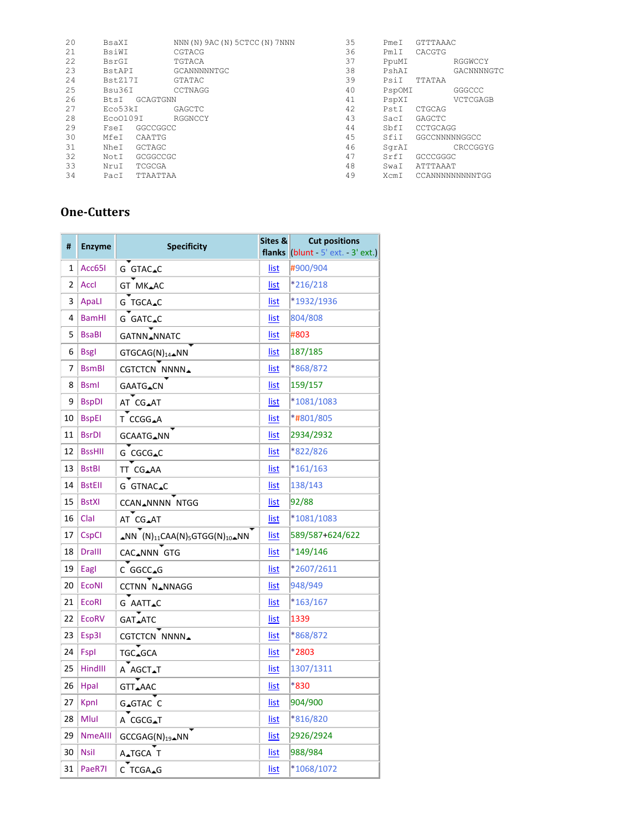| 20 | BsaXI    |          | NNN (N) 9AC (N) 5CTCC (N) 7NNN | 35 | PmeI   | GTTTAAAC        |
|----|----------|----------|--------------------------------|----|--------|-----------------|
| 21 | BsiWI    |          | CGTACG                         | 36 | PmlI   | CACGTG          |
| 22 | BsrGI    |          | TGTACA                         | 37 | PpuMI  | RGGWCCY         |
| 23 | BstAPI   |          | GCANNNNNTGC                    | 38 | PshAI  | GACNNNNGTC      |
| 24 | BstZ17I  |          | GTATAC                         | 39 | PsiI   | TTATAA          |
| 25 | Bsu36I   |          | CCTNAGG                        | 40 | PspOMI | GGGCCC          |
| 26 | BtsI     | GCAGTGNN |                                | 41 | PspXI  | VCTCGAGB        |
| 27 | Eco53kI  |          | GAGCTC                         | 42 | PstI   | CTGCAG          |
| 28 | Eco0109I |          | RGGNCCY                        | 43 | SacI   | GAGCTC          |
| 29 | FseI     | GGCCGGCC |                                | 44 | SbfI   | CCTGCAGG        |
| 30 | MfeI     | CAATTG   |                                | 45 | SfiI   | GGCCNNNNNGGCC   |
| 31 | NheI     | GCTAGC   |                                | 46 | SqrAI  | CRCCGGYG        |
| 32 | NotI     | GCGGCCGC |                                | 47 | SrfT   | GCCCGGGC        |
| 33 | NruI     | TCGCGA   |                                | 48 | SwaI   | ATTTAAAT        |
| 34 | PacI     | TTAATTAA |                                | 49 | XcmI   | CCANNNNNNNNNTGG |

## **One-Cutters**

| #  | <b>Enzyme</b>  | <b>Specificity</b>                                                                        |             | <b>Cut positions</b><br>flanks (blunt $-5'$ ext. $-3'$ ext.) |
|----|----------------|-------------------------------------------------------------------------------------------|-------------|--------------------------------------------------------------|
| 1  | Acc65I         | G GTAC_C                                                                                  | list        | #900/904                                                     |
| 2  | <b>Accl</b>    | GT MK_AC                                                                                  | list        | *216/218                                                     |
| 3  | ApaLl          | G TGCA_C                                                                                  | list        | *1932/1936                                                   |
| 4  | <b>BamHI</b>   | G GATC.C                                                                                  | list        | 804/808                                                      |
| 5  | <b>BsaBI</b>   | GATNN_NNATC                                                                               | list        | #803                                                         |
| 6  | <b>Bsgl</b>    | GTGCAG(N) <sub>14</sub> _NN                                                               | list        | 187/185                                                      |
| 7  | <b>BsmBI</b>   | CGTCTCN NNNN <sub>4</sub>                                                                 | <u>list</u> | *868/872                                                     |
| 8  | <b>Bsml</b>    | GAATG_CN                                                                                  | list        | 159/157                                                      |
| 9  | <b>BspDI</b>   | AT CG_AT                                                                                  | list        | *1081/1083                                                   |
| 10 | <b>BspEl</b>   | T CCGG_A                                                                                  | list        | *#801/805                                                    |
| 11 | <b>BsrDI</b>   | GCAATG_NN                                                                                 | <u>list</u> | 2934/2932                                                    |
| 12 | <b>BssHII</b>  | G CGCG.C                                                                                  | <u>list</u> | *822/826                                                     |
| 13 | <b>BstBI</b>   | TT CG_AA                                                                                  | list        | $*161/163$                                                   |
| 14 | <b>BstEll</b>  | G GTNAC.C                                                                                 | <u>list</u> | 138/143                                                      |
| 15 | <b>BstXI</b>   | CCAN_NNNN NTGG                                                                            | list        | 92/88                                                        |
| 16 | Clal           | AT CG_AT                                                                                  | <u>list</u> | *1081/1083                                                   |
| 17 | <b>CspCI</b>   | $\triangle NN$ (N) <sub>11</sub> CAA(N) <sub>5</sub> GTGG(N) <sub>10</sub> $\triangle NN$ | list        | 589/587+624/622                                              |
| 18 | <b>Dralll</b>  | CAC_NNN GTG                                                                               | <u>list</u> | $*149/146$                                                   |
| 19 | Eagl           | C GGCC.G                                                                                  | list        | *2607/2611                                                   |
| 20 | <b>EcoNI</b>   | CCTNN NANNAGG                                                                             | list        | 948/949                                                      |
| 21 | <b>EcoRI</b>   | G AATT.C                                                                                  | list        | *163/167                                                     |
| 22 | <b>EcoRV</b>   | GAT_ATC                                                                                   | list        | 1339                                                         |
| 23 | Esp3I          | <b>CGTCTCN NNNN</b>                                                                       | list        | *868/872                                                     |
| 24 | Fspl           | TGC <sub>▲</sub> GCA                                                                      | list        | *2803                                                        |
| 25 | <b>HindIII</b> | A AGCT <b>∡</b> T                                                                         | list        | 1307/1311                                                    |
| 26 | <b>Hpal</b>    | GTT <b>_</b> AAC                                                                          | list        | $*830$                                                       |
| 27 | Kpnl           | G <sub>A</sub> GTAC C                                                                     | <u>list</u> | 904/900                                                      |
| 28 | Mlul           | A CGCG.T                                                                                  | list        | *816/820                                                     |
| 29 | <b>NmeAllI</b> | GCCGAG(N) <sub>19</sub> _NN                                                               | <u>list</u> | 2926/2924                                                    |
| 30 | <b>Nsil</b>    | A <sub>A</sub> TGCA T                                                                     | list        | 988/984                                                      |
| 31 | PaeR7I         | C TCGA_G                                                                                  | <u>list</u> | *1068/1072                                                   |